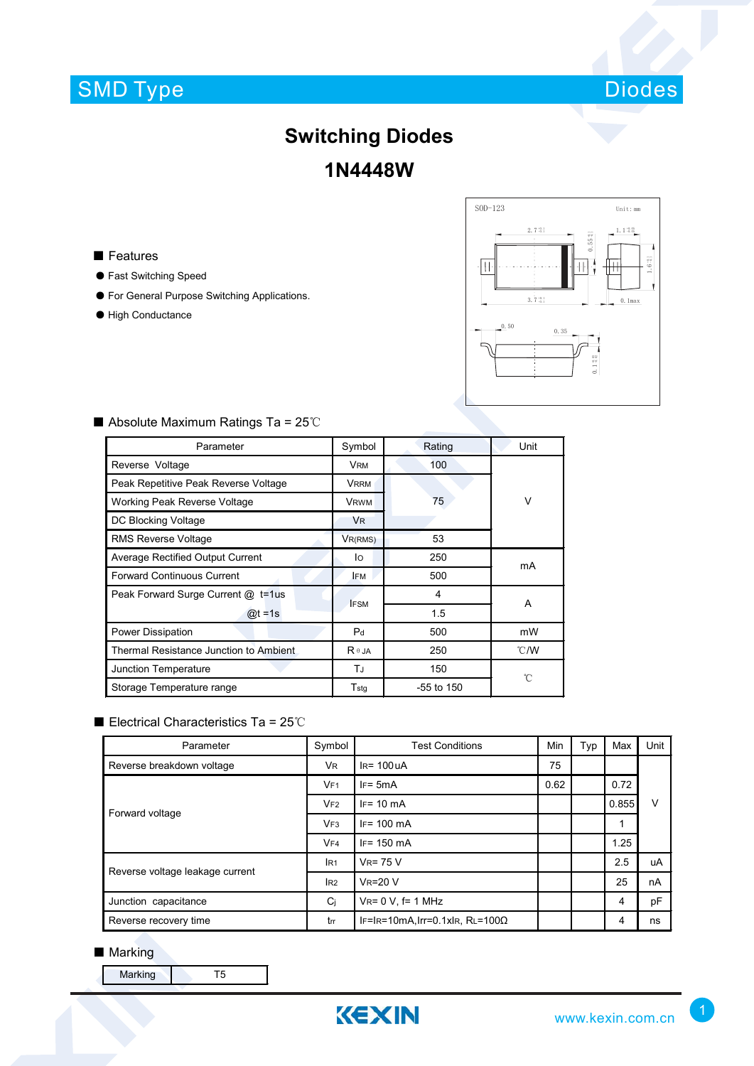# SMD Type



## **Switching Diodes 1N4448W**

■ Features

- Fast Switching Speed
- For General Purpose Switching Applications.
- High Conductance



| Parameter                               | Symbol         | Rating       | Unit           |  |
|-----------------------------------------|----------------|--------------|----------------|--|
| Reverse Voltage                         | <b>VRM</b>     | 100          | $\vee$         |  |
| Peak Repetitive Peak Reverse Voltage    | <b>VRRM</b>    |              |                |  |
| Working Peak Reverse Voltage            | <b>VRWM</b>    | 75           |                |  |
| DC Blocking Voltage                     | <b>VR</b>      |              |                |  |
| <b>RMS Reverse Voltage</b>              | $V_{R(RMS)}$   | 53           |                |  |
| Average Rectified Output Current        | lo             | 250          | mA             |  |
| Forward Continuous Current              | <b>IFM</b>     | 500          |                |  |
| Peak Forward Surge Current @ t=1us      | <b>IFSM</b>    | 4            | A              |  |
| $\omega t = 1$ s                        |                | 1.5          |                |  |
| Power Dissipation                       | P <sub>d</sub> | 500          | mW             |  |
| Thermal Resistance Junction to Ambient. | $R \theta$ JA  | 250          | $^{\circ}$ C/W |  |
| Junction Temperature                    | TJ             | 150          | °C             |  |
| Storage Temperature range               | Tstg           | $-55$ to 150 |                |  |

### ■ Absolute Maximum Ratings Ta = 25℃

#### ■ Electrical Characteristics Ta = 25℃

| Parameter                       | Symbol          | <b>Test Conditions</b>                  | Min  | Typ | Max   | Unit |
|---------------------------------|-----------------|-----------------------------------------|------|-----|-------|------|
| Reverse breakdown voltage       | VR.             | $IR = 100UA$                            | 75   |     |       |      |
| Forward voltage                 | VF <sub>1</sub> | $IF = 5mA$                              | 0.62 |     | 0.72  |      |
|                                 | VF2             | $IF = 10 \text{ mA}$                    |      |     | 0.855 | V    |
|                                 | VF3             | $IF = 100 \text{ mA}$                   |      |     | 1     |      |
|                                 | VF4             | $IF = 150$ mA                           |      |     | 1.25  |      |
| Reverse voltage leakage current | IR <sub>1</sub> | $V_R = 75 V$                            |      |     | 2.5   | uA   |
|                                 | l <sub>R2</sub> | <b>VR=20 V</b>                          |      |     | 25    | nA   |
| Junction capacitance            | Cj              | $V_{R} = 0 V$ , f= 1 MHz                |      |     | 4     | pF   |
| Reverse recovery time           | trr             | IF=IR=10mA, Irr=0.1xIR, RL=100 $\Omega$ |      |     | 4     | ns   |

#### ■ Marking

Marking **T5**